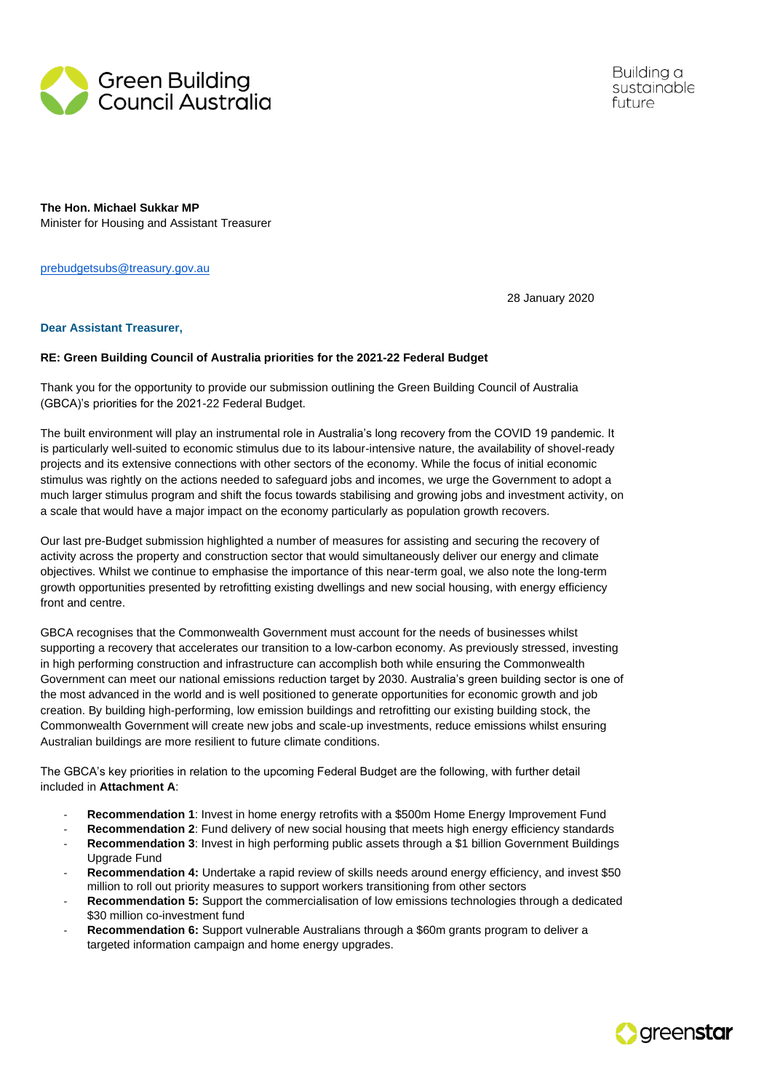

Building a sustainable future

**The Hon. Michael Sukkar MP** Minister for Housing and Assistant Treasurer

[prebudgetsubs@treasury.gov.au](mailto:prebudgetsubs@treasury.gov.au)

28 January 2020

#### **Dear Assistant Treasurer,**

#### **RE: Green Building Council of Australia priorities for the 2021-22 Federal Budget**

Thank you for the opportunity to provide our submission outlining the Green Building Council of Australia (GBCA)'s priorities for the 2021-22 Federal Budget.

The built environment will play an instrumental role in Australia's long recovery from the COVID 19 pandemic. It is particularly well-suited to economic stimulus due to its labour-intensive nature, the availability of shovel-ready projects and its extensive connections with other sectors of the economy. While the focus of initial economic stimulus was rightly on the actions needed to safeguard jobs and incomes, we urge the Government to adopt a much larger stimulus program and shift the focus towards stabilising and growing jobs and investment activity, on a scale that would have a major impact on the economy particularly as population growth recovers.

Our last pre-Budget submission highlighted a number of measures for assisting and securing the recovery of activity across the property and construction sector that would simultaneously deliver our energy and climate objectives. Whilst we continue to emphasise the importance of this near-term goal, we also note the long-term growth opportunities presented by retrofitting existing dwellings and new social housing, with energy efficiency front and centre.

GBCA recognises that the Commonwealth Government must account for the needs of businesses whilst supporting a recovery that accelerates our transition to a low-carbon economy. As previously stressed, investing in high performing construction and infrastructure can accomplish both while ensuring the Commonwealth Government can meet our national emissions reduction target by 2030. Australia's green building sector is one of the most advanced in the world and is well positioned to generate opportunities for economic growth and job creation. By building high-performing, low emission buildings and retrofitting our existing building stock, the Commonwealth Government will create new jobs and scale-up investments, reduce emissions whilst ensuring Australian buildings are more resilient to future climate conditions.

The GBCA's key priorities in relation to the upcoming Federal Budget are the following, with further detail included in **Attachment A**:

- **Recommendation 1**: Invest in home energy retrofits with a \$500m Home Energy Improvement Fund
- **Recommendation 2**: Fund delivery of new social housing that meets high energy efficiency standards
- **Recommendation 3**: Invest in high performing public assets through a \$1 billion Government Buildings Upgrade Fund
- **Recommendation 4:** Undertake a rapid review of skills needs around energy efficiency, and invest \$50 million to roll out priority measures to support workers transitioning from other sectors
- **Recommendation 5:** Support the commercialisation of low emissions technologies through a dedicated \$30 million co-investment fund
- **Recommendation 6:** Support vulnerable Australians through a \$60m grants program to deliver a targeted information campaign and home energy upgrades.

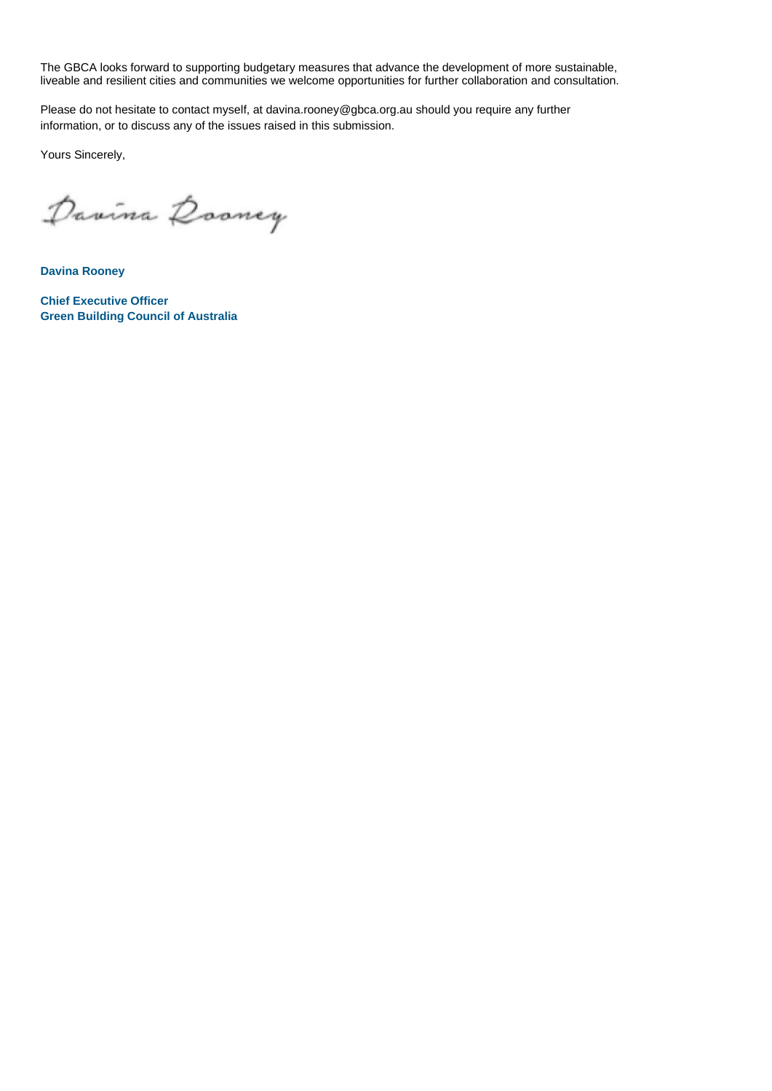The GBCA looks forward to supporting budgetary measures that advance the development of more sustainable, liveable and resilient cities and communities we welcome opportunities for further collaboration and consultation.

Please do not hesitate to contact myself, at davina.rooney@gbca.org.au should you require any further information, or to discuss any of the issues raised in this submission.

Yours Sincerely,

Davina Dooney

**Davina Rooney**

**Chief Executive Officer Green Building Council of Australia**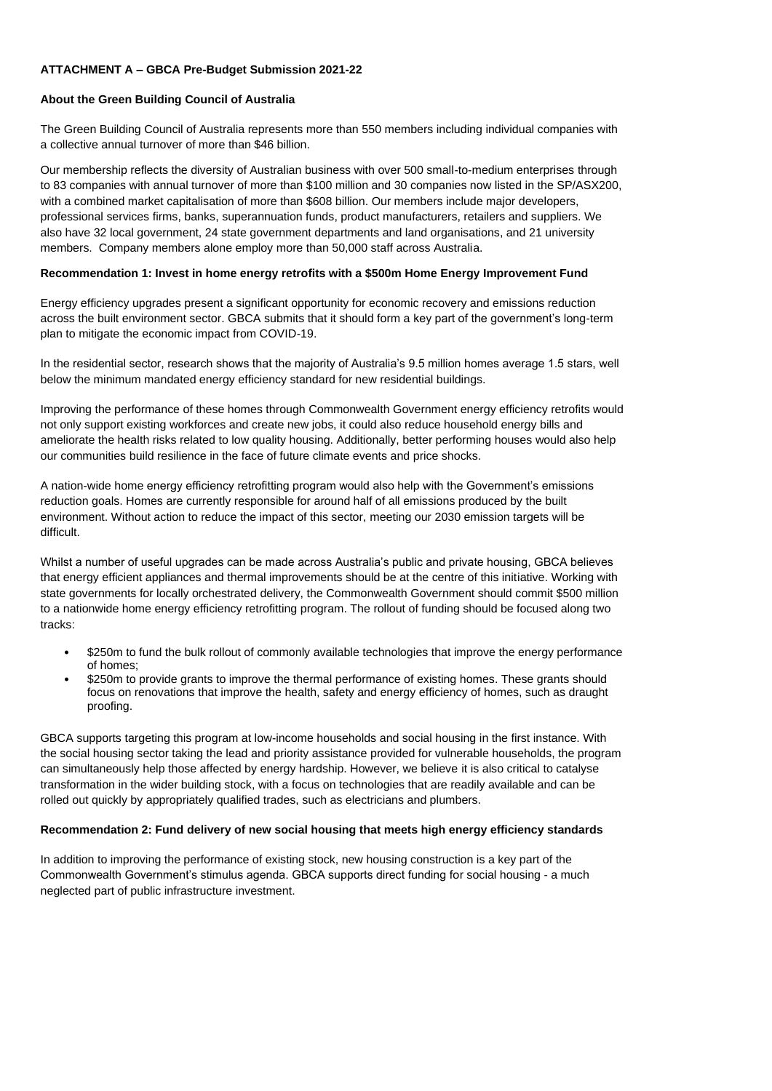## **ATTACHMENT A – GBCA Pre-Budget Submission 2021-22**

#### **About the Green Building Council of Australia**

The Green Building Council of Australia represents more than 550 members including individual companies with a collective annual turnover of more than \$46 billion.

Our membership reflects the diversity of Australian business with over 500 small-to-medium enterprises through to 83 companies with annual turnover of more than \$100 million and 30 companies now listed in the SP/ASX200, with a combined market capitalisation of more than \$608 billion. Our members include major developers, professional services firms, banks, superannuation funds, product manufacturers, retailers and suppliers. We also have 32 local government, 24 state government departments and land organisations, and 21 university members. Company members alone employ more than 50,000 staff across Australia.

### **Recommendation 1: Invest in home energy retrofits with a \$500m Home Energy Improvement Fund**

Energy efficiency upgrades present a significant opportunity for economic recovery and emissions reduction across the built environment sector. GBCA submits that it should form a key part of the government's long-term plan to mitigate the economic impact from COVID-19.

In the residential sector, research shows that the majority of Australia's 9.5 million homes average 1.5 stars, well below the minimum mandated energy efficiency standard for new residential buildings.

Improving the performance of these homes through Commonwealth Government energy efficiency retrofits would not only support existing workforces and create new jobs, it could also reduce household energy bills and ameliorate the health risks related to low quality housing. Additionally, better performing houses would also help our communities build resilience in the face of future climate events and price shocks.

A nation-wide home energy efficiency retrofitting program would also help with the Government's emissions reduction goals. Homes are currently responsible for around half of all emissions produced by the built environment. Without action to reduce the impact of this sector, meeting our 2030 emission targets will be difficult.

Whilst a number of useful upgrades can be made across Australia's public and private housing, GBCA believes that energy efficient appliances and thermal improvements should be at the centre of this initiative. Working with state governments for locally orchestrated delivery, the Commonwealth Government should commit \$500 million to a nationwide home energy efficiency retrofitting program. The rollout of funding should be focused along two tracks:

- \$250m to fund the bulk rollout of commonly available technologies that improve the energy performance of homes;
- \$250m to provide grants to improve the thermal performance of existing homes. These grants should focus on renovations that improve the health, safety and energy efficiency of homes, such as draught proofing.

GBCA supports targeting this program at low-income households and social housing in the first instance. With the social housing sector taking the lead and priority assistance provided for vulnerable households, the program can simultaneously help those affected by energy hardship. However, we believe it is also critical to catalyse transformation in the wider building stock, with a focus on technologies that are readily available and can be rolled out quickly by appropriately qualified trades, such as electricians and plumbers.

#### **Recommendation 2: Fund delivery of new social housing that meets high energy efficiency standards**

In addition to improving the performance of existing stock, new housing construction is a key part of the Commonwealth Government's stimulus agenda. GBCA supports direct funding for social housing - a much neglected part of public infrastructure investment.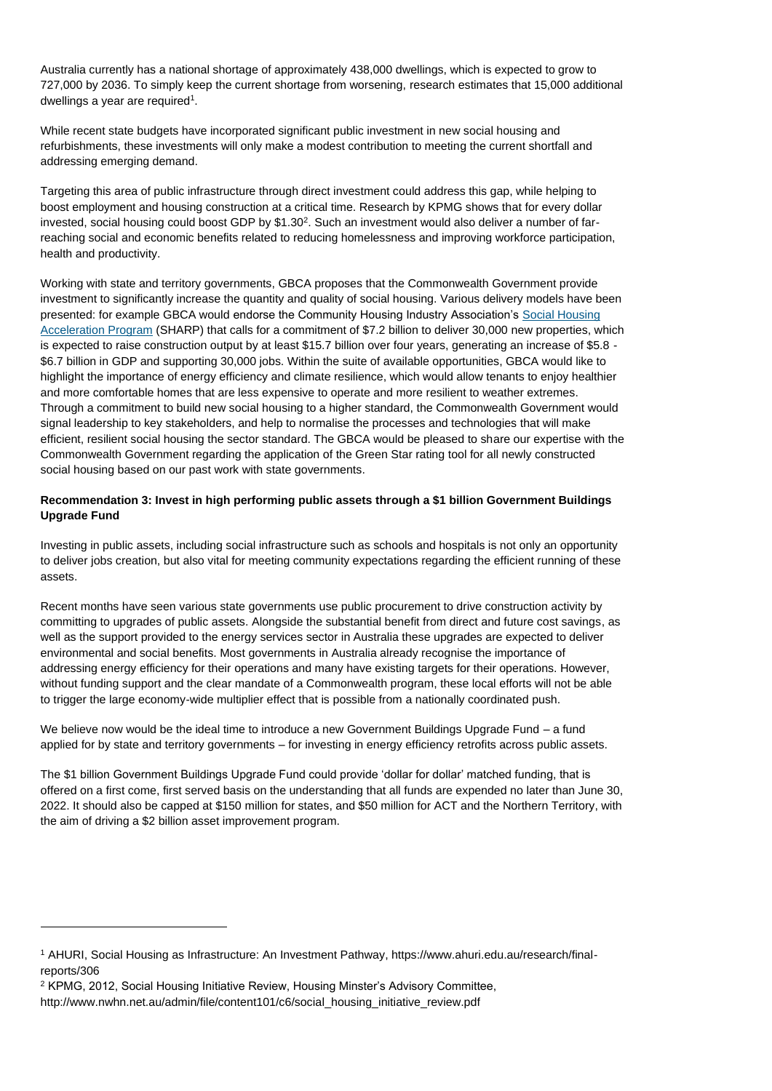Australia currently has a national shortage of approximately 438,000 dwellings, which is expected to grow to 727,000 by 2036. To simply keep the current shortage from worsening, research estimates that 15,000 additional dwellings a year are required<sup>1</sup>.

While recent state budgets have incorporated significant public investment in new social housing and refurbishments, these investments will only make a modest contribution to meeting the current shortfall and addressing emerging demand.

Targeting this area of public infrastructure through direct investment could address this gap, while helping to boost employment and housing construction at a critical time. Research by KPMG shows that for every dollar invested, social housing could boost GDP by  $$1.30<sup>2</sup>$ . Such an investment would also deliver a number of farreaching social and economic benefits related to reducing homelessness and improving workforce participation, health and productivity.

Working with state and territory governments, GBCA proposes that the Commonwealth Government provide investment to significantly increase the quantity and quality of social housing. Various delivery models have been presented: for example GBCA would endorse the Community Housing Industry Association's Social Housing [Acceleration Program](https://www.communityhousing.com.au/wp-content/uploads/2020/05/SHARP-Program.pdf) (SHARP) that calls for a commitment of \$7.2 billion to deliver 30,000 new properties, which is expected to raise construction output by at least \$15.7 billion over four years, generating an increase of \$5.8 -\$6.7 billion in GDP and supporting 30,000 jobs. Within the suite of available opportunities, GBCA would like to highlight the importance of energy efficiency and climate resilience, which would allow tenants to enjoy healthier and more comfortable homes that are less expensive to operate and more resilient to weather extremes. Through a commitment to build new social housing to a higher standard, the Commonwealth Government would signal leadership to key stakeholders, and help to normalise the processes and technologies that will make efficient, resilient social housing the sector standard. The GBCA would be pleased to share our expertise with the Commonwealth Government regarding the application of the Green Star rating tool for all newly constructed social housing based on our past work with state governments.

# **Recommendation 3: Invest in high performing public assets through a \$1 billion Government Buildings Upgrade Fund**

Investing in public assets, including social infrastructure such as schools and hospitals is not only an opportunity to deliver jobs creation, but also vital for meeting community expectations regarding the efficient running of these assets.

Recent months have seen various state governments use public procurement to drive construction activity by committing to upgrades of public assets. Alongside the substantial benefit from direct and future cost savings, as well as the support provided to the energy services sector in Australia these upgrades are expected to deliver environmental and social benefits. Most governments in Australia already recognise the importance of addressing energy efficiency for their operations and many have existing targets for their operations. However, without funding support and the clear mandate of a Commonwealth program, these local efforts will not be able to trigger the large economy-wide multiplier effect that is possible from a nationally coordinated push.

We believe now would be the ideal time to introduce a new Government Buildings Upgrade Fund – a fund applied for by state and territory governments – for investing in energy efficiency retrofits across public assets.

The \$1 billion Government Buildings Upgrade Fund could provide 'dollar for dollar' matched funding, that is offered on a first come, first served basis on the understanding that all funds are expended no later than June 30, 2022. It should also be capped at \$150 million for states, and \$50 million for ACT and the Northern Territory, with the aim of driving a \$2 billion asset improvement program.

<sup>1</sup> AHURI, Social Housing as Infrastructure: An Investment Pathway, https://www.ahuri.edu.au/research/finalreports/306

<sup>2</sup> KPMG, 2012, Social Housing Initiative Review, Housing Minster's Advisory Committee, http://www.nwhn.net.au/admin/file/content101/c6/social\_housing\_initiative\_review.pdf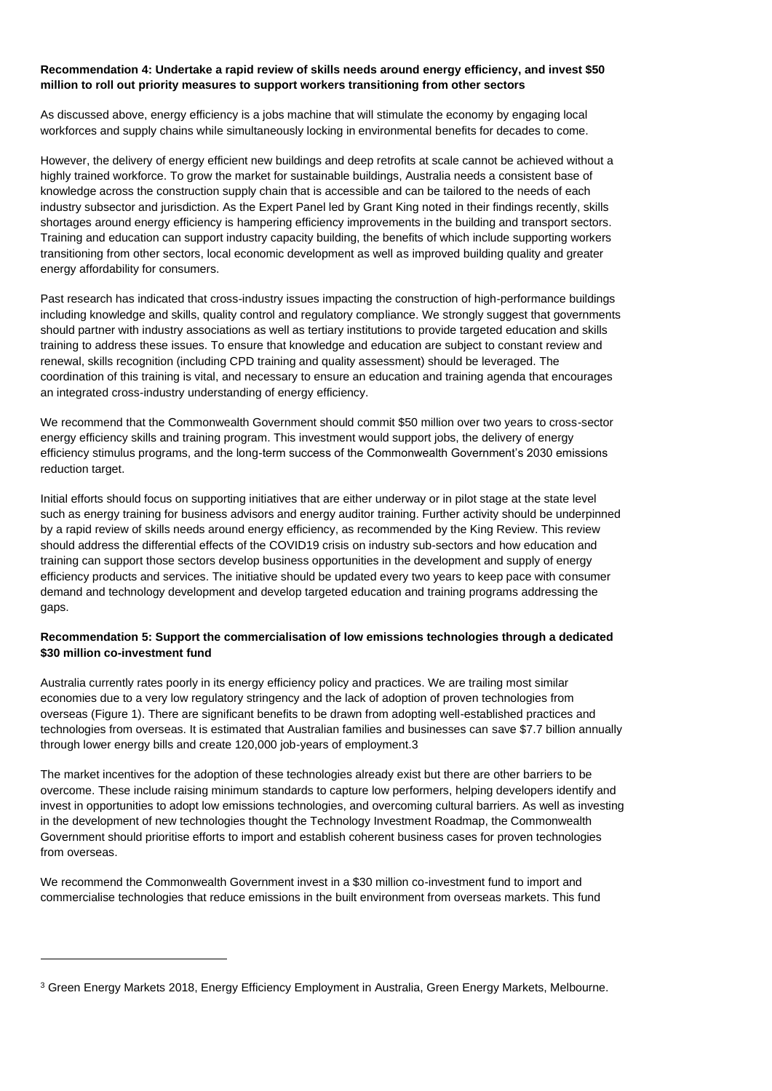### **Recommendation 4: Undertake a rapid review of skills needs around energy efficiency, and invest \$50 million to roll out priority measures to support workers transitioning from other sectors**

As discussed above, energy efficiency is a jobs machine that will stimulate the economy by engaging local workforces and supply chains while simultaneously locking in environmental benefits for decades to come.

However, the delivery of energy efficient new buildings and deep retrofits at scale cannot be achieved without a highly trained workforce. To grow the market for sustainable buildings, Australia needs a consistent base of knowledge across the construction supply chain that is accessible and can be tailored to the needs of each industry subsector and jurisdiction. As the Expert Panel led by Grant King noted in their findings recently, skills shortages around energy efficiency is hampering efficiency improvements in the building and transport sectors. Training and education can support industry capacity building, the benefits of which include supporting workers transitioning from other sectors, local economic development as well as improved building quality and greater energy affordability for consumers.

Past research has indicated that cross-industry issues impacting the construction of high-performance buildings including knowledge and skills, quality control and regulatory compliance. We strongly suggest that governments should partner with industry associations as well as tertiary institutions to provide targeted education and skills training to address these issues. To ensure that knowledge and education are subject to constant review and renewal, skills recognition (including CPD training and quality assessment) should be leveraged. The coordination of this training is vital, and necessary to ensure an education and training agenda that encourages an integrated cross-industry understanding of energy efficiency.

We recommend that the Commonwealth Government should commit \$50 million over two vears to cross-sector energy efficiency skills and training program. This investment would support jobs, the delivery of energy efficiency stimulus programs, and the long-term success of the Commonwealth Government's 2030 emissions reduction target.

Initial efforts should focus on supporting initiatives that are either underway or in pilot stage at the state level such as energy training for business advisors and energy auditor training. Further activity should be underpinned by a rapid review of skills needs around energy efficiency, as recommended by the King Review. This review should address the differential effects of the COVID19 crisis on industry sub-sectors and how education and training can support those sectors develop business opportunities in the development and supply of energy efficiency products and services. The initiative should be updated every two years to keep pace with consumer demand and technology development and develop targeted education and training programs addressing the gaps.

## **Recommendation 5: Support the commercialisation of low emissions technologies through a dedicated \$30 million co-investment fund**

Australia currently rates poorly in its energy efficiency policy and practices. We are trailing most similar economies due to a very low regulatory stringency and the lack of adoption of proven technologies from overseas [\(Figure 1\)](#page-5-0). There are significant benefits to be drawn from adopting well-established practices and technologies from overseas. It is estimated that Australian families and businesses can save \$7.7 billion annually through lower energy bills and create 120,000 job-years of employment.3

The market incentives for the adoption of these technologies already exist but there are other barriers to be overcome. These include raising minimum standards to capture low performers, helping developers identify and invest in opportunities to adopt low emissions technologies, and overcoming cultural barriers. As well as investing in the development of new technologies thought the Technology Investment Roadmap, the Commonwealth Government should prioritise efforts to import and establish coherent business cases for proven technologies from overseas.

We recommend the Commonwealth Government invest in a \$30 million co-investment fund to import and commercialise technologies that reduce emissions in the built environment from overseas markets. This fund

<sup>3</sup> Green Energy Markets 2018, Energy Efficiency Employment in Australia, Green Energy Markets, Melbourne.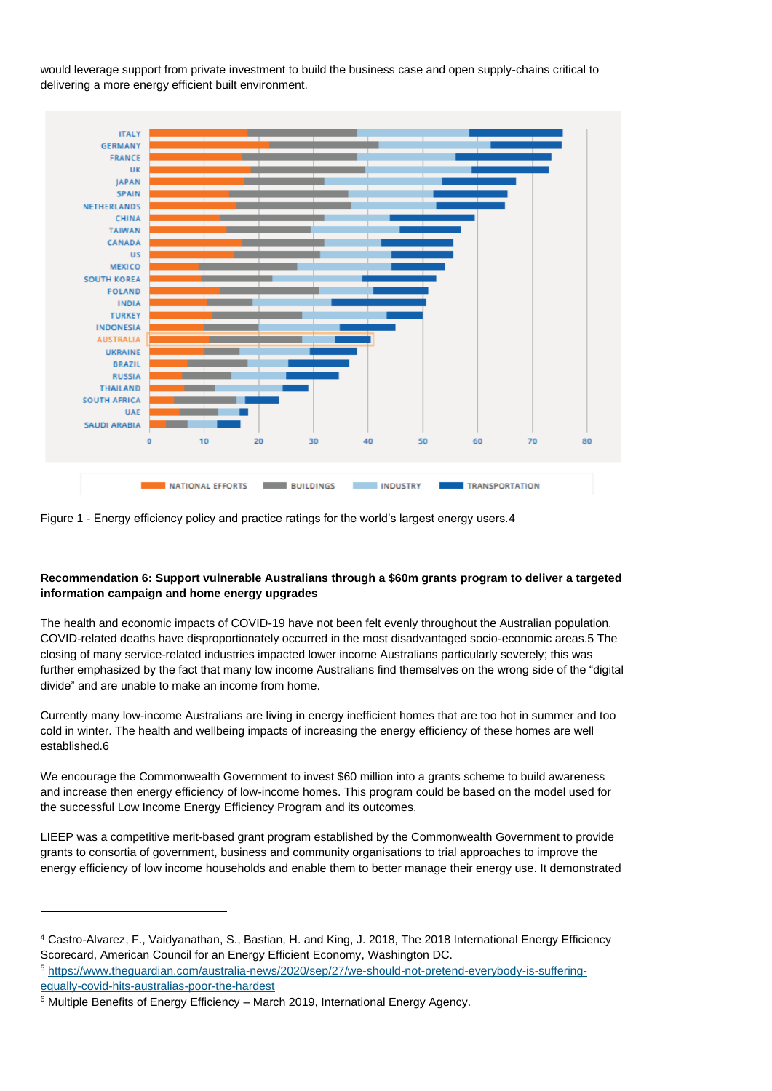would leverage support from private investment to build the business case and open supply-chains critical to delivering a more energy efficient built environment.



<span id="page-5-0"></span>

# **Recommendation 6: Support vulnerable Australians through a \$60m grants program to deliver a targeted information campaign and home energy upgrades**

The health and economic impacts of COVID-19 have not been felt evenly throughout the Australian population. COVID-related deaths have disproportionately occurred in the most disadvantaged socio-economic areas.5 The closing of many service-related industries impacted lower income Australians particularly severely; this was further emphasized by the fact that many low income Australians find themselves on the wrong side of the "digital divide" and are unable to make an income from home.

Currently many low-income Australians are living in energy inefficient homes that are too hot in summer and too cold in winter. The health and wellbeing impacts of increasing the energy efficiency of these homes are well established.6

We encourage the Commonwealth Government to invest \$60 million into a grants scheme to build awareness and increase then energy efficiency of low-income homes. This program could be based on the model used for the successfu[l Low Income Energy Efficiency Program](https://www.energy.gov.au/publications/low-income-energy-efficiency-program-lieep) and its outcomes.

LIEEP was a competitive merit-based grant program established by the Commonwealth Government to provide grants to consortia of government, business and community organisations to trial approaches to improve the energy efficiency of low income households and enable them to better manage their energy use. It demonstrated

<sup>4</sup> Castro-Alvarez, F., Vaidyanathan, S., Bastian, H. and King, J. 2018, The 2018 International Energy Efficiency Scorecard, American Council for an Energy Efficient Economy, Washington DC.

<sup>5</sup> [https://www.theguardian.com/australia-news/2020/sep/27/we-should-not-pretend-everybody-is-suffering](https://www.theguardian.com/australia-news/2020/sep/27/we-should-not-pretend-everybody-is-suffering-equally-covid-hits-australias-poor-the-hardest)[equally-covid-hits-australias-poor-the-hardest](https://www.theguardian.com/australia-news/2020/sep/27/we-should-not-pretend-everybody-is-suffering-equally-covid-hits-australias-poor-the-hardest)

<sup>6</sup> Multiple Benefits of Energy Efficiency – March 2019, International Energy Agency.